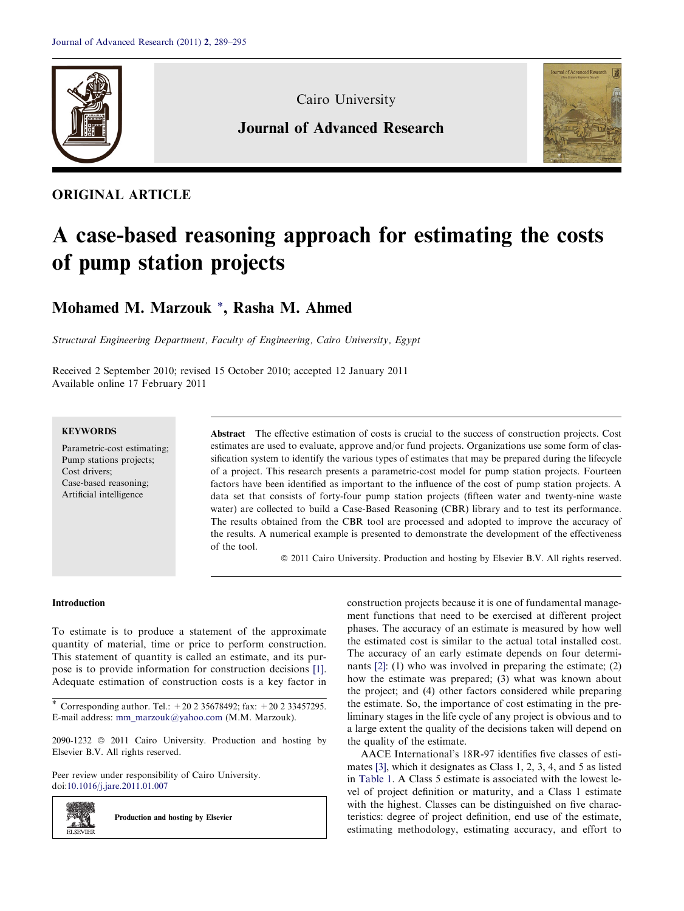

Cairo University

# Journal of Advanced Research



# ORIGINAL ARTICLE

# A case-based reasoning approach for estimating the costs of pump station projects

Mohamed M. Marzouk \*, Rasha M. Ahmed

Structural Engineering Department, Faculty of Engineering, Cairo University, Egypt

Received 2 September 2010; revised 15 October 2010; accepted 12 January 2011 Available online 17 February 2011

## **KEYWORDS**

Parametric-cost estimating; Pump stations projects; Cost drivers; Case-based reasoning; Artificial intelligence

Abstract The effective estimation of costs is crucial to the success of construction projects. Cost estimates are used to evaluate, approve and/or fund projects. Organizations use some form of classification system to identify the various types of estimates that may be prepared during the lifecycle of a project. This research presents a parametric-cost model for pump station projects. Fourteen factors have been identified as important to the influence of the cost of pump station projects. A data set that consists of forty-four pump station projects (fifteen water and twenty-nine waste water) are collected to build a Case-Based Reasoning (CBR) library and to test its performance. The results obtained from the CBR tool are processed and adopted to improve the accuracy of the results. A numerical example is presented to demonstrate the development of the effectiveness of the tool.

ª 2011 Cairo University. Production and hosting by Elsevier B.V. All rights reserved.

#### Introduction

z. si **ELSEVIEE** 

To estimate is to produce a statement of the approximate quantity of material, time or price to perform construction. This statement of quantity is called an estimate, and its purpose is to provide information for construction decisions [\[1\]](#page-6-0). Adequate estimation of construction costs is a key factor in

2090-1232 © 2011 Cairo University. Production and hosting by Elsevier B.V. All rights reserved.

Peer review under responsibility of Cairo University. doi[:10.1016/j.jare.2011.01.007](http://dx.doi.org/10.1016/j.jare.2011.01.007)

Production and hosting by Elsevier

construction projects because it is one of fundamental management functions that need to be exercised at different project phases. The accuracy of an estimate is measured by how well the estimated cost is similar to the actual total installed cost. The accuracy of an early estimate depends on four determinants [\[2\]:](#page-6-0) (1) who was involved in preparing the estimate; (2) how the estimate was prepared; (3) what was known about the project; and (4) other factors considered while preparing the estimate. So, the importance of cost estimating in the preliminary stages in the life cycle of any project is obvious and to a large extent the quality of the decisions taken will depend on the quality of the estimate.

AACE International's 18R-97 identifies five classes of estimates [\[3\]](#page-6-0), which it designates as Class 1, 2, 3, 4, and 5 as listed in [Table 1](#page-1-0). A Class 5 estimate is associated with the lowest level of project definition or maturity, and a Class 1 estimate with the highest. Classes can be distinguished on five characteristics: degree of project definition, end use of the estimate, estimating methodology, estimating accuracy, and effort to

<sup>\*</sup> Corresponding author. Tel.: +20 2 35678492; fax: +20 2 33457295. E-mail address: [mm\\_marzouk@yahoo.com](mailto:mm_marzouk@yahoo.com) (M.M. Marzouk).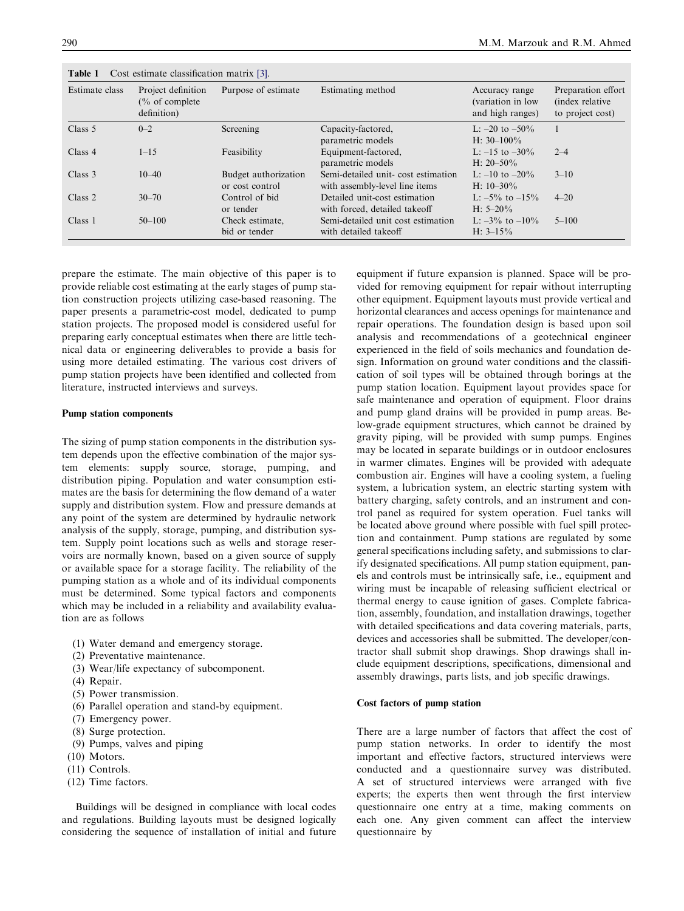| Estimate class<br>Purpose of estimate<br>Project definition<br>Estimating method<br>$\frac{6}{6}$ of complete<br>definition) |            | Accuracy range<br>(variation in low<br>and high ranges) | Preparation effort<br>(index relative)<br>to project cost)           |                                       |           |
|------------------------------------------------------------------------------------------------------------------------------|------------|---------------------------------------------------------|----------------------------------------------------------------------|---------------------------------------|-----------|
| Class 5                                                                                                                      | $0 - 2$    | Screening                                               | Capacity-factored,<br>parametric models                              | L: $-20$ to $-50\%$<br>H: $30-100\%$  |           |
| Class 4                                                                                                                      | $1 - 15$   | Feasibility                                             | Equipment-factored,<br>parametric models                             | L: $-15$ to $-30\%$<br>H: $20 - 50\%$ | $2 - 4$   |
| Class 3                                                                                                                      | $10 - 40$  | Budget authorization<br>or cost control                 | Semi-detailed unit-cost estimation<br>with assembly-level line items | L: $-10$ to $-20\%$<br>H: $10-30\%$   | $3 - 10$  |
| Class 2                                                                                                                      | $30 - 70$  | Control of bid<br>or tender                             | Detailed unit-cost estimation<br>with forced, detailed takeoff       | L: $-5\%$ to $-15\%$<br>$H: 5-20\%$   | $4 - 20$  |
| Class 1                                                                                                                      | $50 - 100$ | Check estimate.<br>bid or tender                        | Semi-detailed unit cost estimation<br>with detailed takeoff          | L: $-3\%$ to $-10\%$<br>H: $3-15%$    | $5 - 100$ |

<span id="page-1-0"></span>Table 1 Cost estimate classification matrix [\[3\].](#page-6-0)

prepare the estimate. The main objective of this paper is to provide reliable cost estimating at the early stages of pump station construction projects utilizing case-based reasoning. The paper presents a parametric-cost model, dedicated to pump station projects. The proposed model is considered useful for preparing early conceptual estimates when there are little technical data or engineering deliverables to provide a basis for using more detailed estimating. The various cost drivers of pump station projects have been identified and collected from literature, instructed interviews and surveys.

#### Pump station components

The sizing of pump station components in the distribution system depends upon the effective combination of the major system elements: supply source, storage, pumping, and distribution piping. Population and water consumption estimates are the basis for determining the flow demand of a water supply and distribution system. Flow and pressure demands at any point of the system are determined by hydraulic network analysis of the supply, storage, pumping, and distribution system. Supply point locations such as wells and storage reservoirs are normally known, based on a given source of supply or available space for a storage facility. The reliability of the pumping station as a whole and of its individual components must be determined. Some typical factors and components which may be included in a reliability and availability evaluation are as follows

- (1) Water demand and emergency storage.
- (2) Preventative maintenance.
- (3) Wear/life expectancy of subcomponent.
- (4) Repair.
- (5) Power transmission.
- (6) Parallel operation and stand-by equipment.
- (7) Emergency power.
- (8) Surge protection.
- (9) Pumps, valves and piping
- (10) Motors.
- (11) Controls.
- (12) Time factors.

Buildings will be designed in compliance with local codes and regulations. Building layouts must be designed logically considering the sequence of installation of initial and future equipment if future expansion is planned. Space will be provided for removing equipment for repair without interrupting other equipment. Equipment layouts must provide vertical and horizontal clearances and access openings for maintenance and repair operations. The foundation design is based upon soil analysis and recommendations of a geotechnical engineer experienced in the field of soils mechanics and foundation design. Information on ground water conditions and the classification of soil types will be obtained through borings at the pump station location. Equipment layout provides space for safe maintenance and operation of equipment. Floor drains and pump gland drains will be provided in pump areas. Below-grade equipment structures, which cannot be drained by gravity piping, will be provided with sump pumps. Engines may be located in separate buildings or in outdoor enclosures in warmer climates. Engines will be provided with adequate combustion air. Engines will have a cooling system, a fueling system, a lubrication system, an electric starting system with battery charging, safety controls, and an instrument and control panel as required for system operation. Fuel tanks will be located above ground where possible with fuel spill protection and containment. Pump stations are regulated by some general specifications including safety, and submissions to clarify designated specifications. All pump station equipment, panels and controls must be intrinsically safe, i.e., equipment and wiring must be incapable of releasing sufficient electrical or thermal energy to cause ignition of gases. Complete fabrication, assembly, foundation, and installation drawings, together with detailed specifications and data covering materials, parts, devices and accessories shall be submitted. The developer/contractor shall submit shop drawings. Shop drawings shall include equipment descriptions, specifications, dimensional and assembly drawings, parts lists, and job specific drawings.

#### Cost factors of pump station

There are a large number of factors that affect the cost of pump station networks. In order to identify the most important and effective factors, structured interviews were conducted and a questionnaire survey was distributed. A set of structured interviews were arranged with five experts; the experts then went through the first interview questionnaire one entry at a time, making comments on each one. Any given comment can affect the interview questionnaire by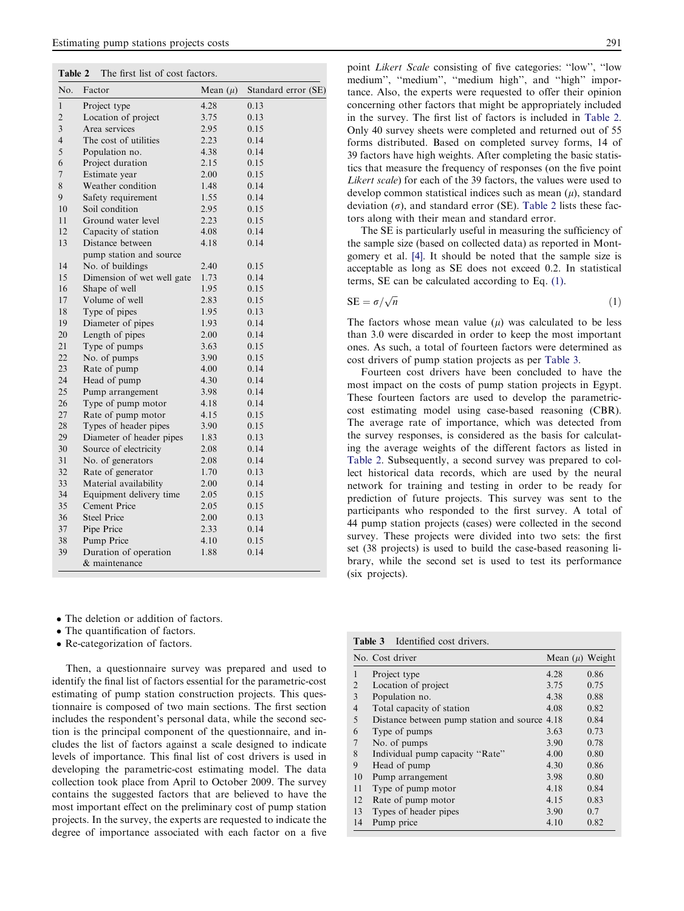| Table 2 |  |  |  |  | The first list of cost factors. |
|---------|--|--|--|--|---------------------------------|
|---------|--|--|--|--|---------------------------------|

| No.                     | Factor                     | Mean $(\mu)$ | Standard error (SE) |
|-------------------------|----------------------------|--------------|---------------------|
| $\mathbf{1}$            | Project type               | 4.28         | 0.13                |
| $\overline{2}$          | Location of project        | 3.75         | 0.13                |
| $\overline{\mathbf{3}}$ | Area services              | 2.95         | 0.15                |
| $\overline{4}$          | The cost of utilities      | 2.23         | 0.14                |
| 5                       | Population no.             | 4.38         | 0.14                |
| 6                       | Project duration           | 2.15         | 0.15                |
| $\overline{7}$          | Estimate year              | 2.00         | 0.15                |
| 8                       | Weather condition          | 1.48         | 0.14                |
| 9                       | Safety requirement         | 1.55         | 0.14                |
| 10                      | Soil condition             | 2.95         | 0.15                |
| 11                      | Ground water level         | 2.23         | 0.15                |
| 12                      | Capacity of station        | 4.08         | 0.14                |
| 13                      | Distance between           | 4.18         | 0.14                |
|                         | pump station and source    |              |                     |
| 14                      | No. of buildings           | 2.40         | 0.15                |
| 15                      | Dimension of wet well gate | 1.73         | 0.14                |
| 16                      | Shape of well              | 1.95         | 0.15                |
| 17                      | Volume of well             | 2.83         | 0.15                |
| 18                      | Type of pipes              | 1.95         | 0.13                |
| 19                      | Diameter of pipes          | 1.93         | 0.14                |
| 20                      | Length of pipes            | 2.00         | 0.14                |
| 21                      | Type of pumps              | 3.63         | 0.15                |
| 22                      | No. of pumps               | 3.90         | 0.15                |
| 23                      | Rate of pump               | 4.00         | 0.14                |
| 24                      | Head of pump               | 4.30         | 0.14                |
| 25                      | Pump arrangement           | 3.98         | 0.14                |
| 26                      | Type of pump motor         | 4.18         | 0.14                |
| 27                      | Rate of pump motor         | 4.15         | 0.15                |
| 28                      | Types of header pipes      | 3.90         | 0.15                |
| 29                      | Diameter of header pipes   | 1.83         | 0.13                |
| 30                      | Source of electricity      | 2.08         | 0.14                |
| 31                      | No. of generators          | 2.08         | 0.14                |
| 32                      | Rate of generator          | 1.70         | 0.13                |
| 33                      | Material availability      | 2.00         | 0.14                |
| 34                      | Equipment delivery time    | 2.05         | 0.15                |
| 35                      | Cement Price               | 2.05         | 0.15                |
| 36                      | <b>Steel Price</b>         | 2.00         | 0.13                |
| 37                      | Pipe Price                 | 2.33         | 0.14                |
| 38                      | <b>Pump Price</b>          | 4.10         | 0.15                |
| 39                      | Duration of operation      | 1.88         | 0.14                |
|                         | & maintenance              |              |                     |

• The deletion or addition of factors.

- The quantification of factors.
- Re-categorization of factors.

Then, a questionnaire survey was prepared and used to identify the final list of factors essential for the parametric-cost estimating of pump station construction projects. This questionnaire is composed of two main sections. The first section includes the respondent's personal data, while the second section is the principal component of the questionnaire, and includes the list of factors against a scale designed to indicate levels of importance. This final list of cost drivers is used in developing the parametric-cost estimating model. The data collection took place from April to October 2009. The survey contains the suggested factors that are believed to have the most important effect on the preliminary cost of pump station projects. In the survey, the experts are requested to indicate the degree of importance associated with each factor on a five point Likert Scale consisting of five categories: ''low'', ''low medium", "medium", "medium high", and "high" importance. Also, the experts were requested to offer their opinion concerning other factors that might be appropriately included in the survey. The first list of factors is included in Table 2. Only 40 survey sheets were completed and returned out of 55 forms distributed. Based on completed survey forms, 14 of 39 factors have high weights. After completing the basic statistics that measure the frequency of responses (on the five point Likert scale) for each of the 39 factors, the values were used to develop common statistical indices such as mean  $(\mu)$ , standard deviation  $(\sigma)$ , and standard error (SE). Table 2 lists these factors along with their mean and standard error.

The SE is particularly useful in measuring the sufficiency of the sample size (based on collected data) as reported in Montgomery et al. [\[4\]](#page-6-0). It should be noted that the sample size is acceptable as long as SE does not exceed 0.2. In statistical terms, SE can be calculated according to Eq. (1).

$$
SE = \sigma / \sqrt{n} \tag{1}
$$

The factors whose mean value  $(\mu)$  was calculated to be less than 3.0 were discarded in order to keep the most important ones. As such, a total of fourteen factors were determined as cost drivers of pump station projects as per Table 3.

Fourteen cost drivers have been concluded to have the most impact on the costs of pump station projects in Egypt. These fourteen factors are used to develop the parametriccost estimating model using case-based reasoning (CBR). The average rate of importance, which was detected from the survey responses, is considered as the basis for calculating the average weights of the different factors as listed in Table 2. Subsequently, a second survey was prepared to collect historical data records, which are used by the neural network for training and testing in order to be ready for prediction of future projects. This survey was sent to the participants who responded to the first survey. A total of 44 pump station projects (cases) were collected in the second survey. These projects were divided into two sets: the first set (38 projects) is used to build the case-based reasoning library, while the second set is used to test its performance (six projects).

| Identified cost drivers.<br>Table 3 |
|-------------------------------------|
|-------------------------------------|

|                          | No. Cost driver                               | Mean $(\mu)$ Weight |      |
|--------------------------|-----------------------------------------------|---------------------|------|
| 1                        | Project type                                  | 4.28                | 0.86 |
| 2                        | Location of project                           | 3.75                | 0.75 |
| 3                        | Population no.                                | 4.38                | 0.88 |
| $\overline{4}$           | Total capacity of station                     | 4.08                | 0.82 |
| $\overline{\phantom{0}}$ | Distance between pump station and source 4.18 |                     | 0.84 |
| 6                        | Type of pumps                                 | 3.63                | 0.73 |
| 7                        | No. of pumps                                  | 3.90                | 0.78 |
| 8                        | Individual pump capacity "Rate"               | 4.00                | 0.80 |
| 9                        | Head of pump                                  | 4.30                | 0.86 |
| 10                       | Pump arrangement                              | 3.98                | 0.80 |
| 11                       | Type of pump motor                            | 4.18                | 0.84 |
| 12                       | Rate of pump motor                            | 4.15                | 0.83 |
| 13                       | Types of header pipes                         | 3.90                | 0.7  |
| 14                       | Pump price                                    | 4.10                | 0.82 |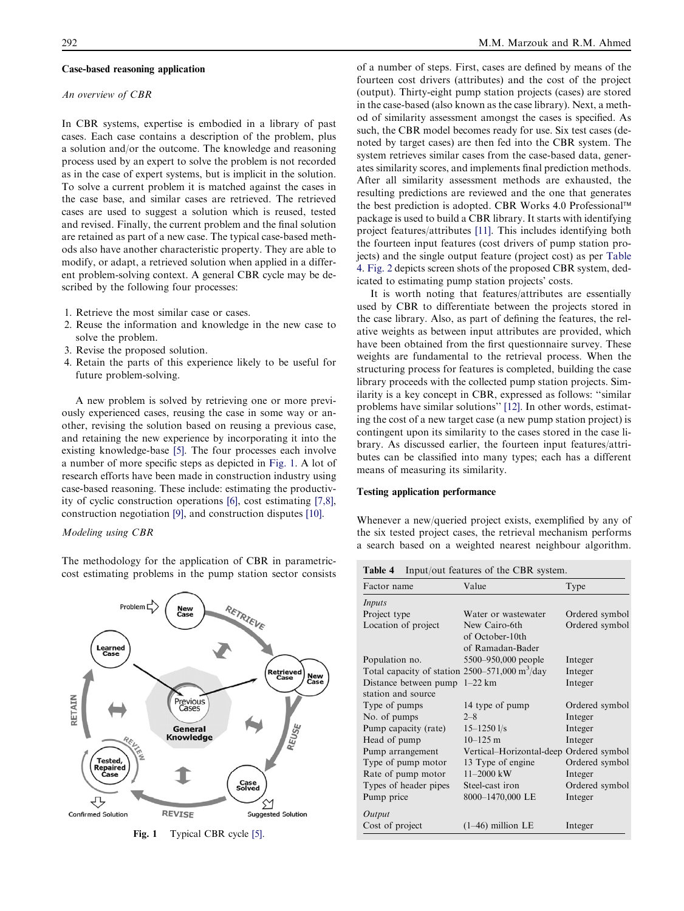#### Case-based reasoning application

#### An overview of CBR

In CBR systems, expertise is embodied in a library of past cases. Each case contains a description of the problem, plus a solution and/or the outcome. The knowledge and reasoning process used by an expert to solve the problem is not recorded as in the case of expert systems, but is implicit in the solution. To solve a current problem it is matched against the cases in the case base, and similar cases are retrieved. The retrieved cases are used to suggest a solution which is reused, tested and revised. Finally, the current problem and the final solution are retained as part of a new case. The typical case-based methods also have another characteristic property. They are able to modify, or adapt, a retrieved solution when applied in a different problem-solving context. A general CBR cycle may be described by the following four processes:

- 1. Retrieve the most similar case or cases.
- 2. Reuse the information and knowledge in the new case to solve the problem.
- 3. Revise the proposed solution.
- 4. Retain the parts of this experience likely to be useful for future problem-solving.

A new problem is solved by retrieving one or more previously experienced cases, reusing the case in some way or another, revising the solution based on reusing a previous case, and retaining the new experience by incorporating it into the existing knowledge-base [\[5\]](#page-6-0). The four processes each involve a number of more specific steps as depicted in Fig. 1. A lot of research efforts have been made in construction industry using case-based reasoning. These include: estimating the productivity of cyclic construction operations [\[6\]](#page-6-0), cost estimating [\[7,8\]](#page-6-0), construction negotiation [\[9\],](#page-6-0) and construction disputes [\[10\]](#page-6-0).

#### Modeling using CBR

The methodology for the application of CBR in parametriccost estimating problems in the pump station sector consists



Fig. 1 Typical CBR cycle [\[5\]](#page-6-0).

of a number of steps. First, cases are defined by means of the fourteen cost drivers (attributes) and the cost of the project (output). Thirty-eight pump station projects (cases) are stored in the case-based (also known as the case library). Next, a method of similarity assessment amongst the cases is specified. As such, the CBR model becomes ready for use. Six test cases (denoted by target cases) are then fed into the CBR system. The system retrieves similar cases from the case-based data, generates similarity scores, and implements final prediction methods. After all similarity assessment methods are exhausted, the resulting predictions are reviewed and the one that generates the best prediction is adopted. CBR Works 4.0 Professional™ package is used to build a CBR library. It starts with identifying project features/attributes [\[11\].](#page-6-0) This includes identifying both the fourteen input features (cost drivers of pump station projects) and the single output feature (project cost) as per Table 4. [Fig. 2](#page-4-0) depicts screen shots of the proposed CBR system, dedicated to estimating pump station projects' costs.

It is worth noting that features/attributes are essentially used by CBR to differentiate between the projects stored in the case library. Also, as part of defining the features, the relative weights as between input attributes are provided, which have been obtained from the first questionnaire survey. These weights are fundamental to the retrieval process. When the structuring process for features is completed, building the case library proceeds with the collected pump station projects. Similarity is a key concept in CBR, expressed as follows: ''similar problems have similar solutions'' [\[12\].](#page-6-0) In other words, estimating the cost of a new target case (a new pump station project) is contingent upon its similarity to the cases stored in the case library. As discussed earlier, the fourteen input features/attributes can be classified into many types; each has a different means of measuring its similarity.

## Testing application performance

Whenever a new/queried project exists, exemplified by any of the six tested project cases, the retrieval mechanism performs a search based on a weighted nearest neighbour algorithm.

Table 4 Input/out features of the CBR system.

| Factor name                                                     | Value                                                | Type           |
|-----------------------------------------------------------------|------------------------------------------------------|----------------|
| Inputs                                                          |                                                      |                |
| Project type                                                    | Water or wastewater                                  | Ordered symbol |
| Location of project                                             | New Cairo-6th<br>of October-10th<br>of Ramadan-Bader | Ordered symbol |
| Population no.                                                  | 5500-950,000 people                                  | Integer        |
| Total capacity of station $2500-571,000 \text{ m}^3/\text{day}$ |                                                      | Integer        |
| Distance between pump                                           | $1-22$ km                                            | Integer        |
| station and source                                              |                                                      |                |
| Type of pumps                                                   | 14 type of pump                                      | Ordered symbol |
| No. of pumps                                                    | $2 - 8$                                              | Integer        |
| Pump capacity (rate)                                            | $15 - 1250$ $1/s$                                    | Integer        |
| Head of pump                                                    | $10 - 125$ m                                         | Integer        |
| Pump arrangement                                                | Vertical-Horizontal-deep Ordered symbol              |                |
| Type of pump motor                                              | 13 Type of engine                                    | Ordered symbol |
| Rate of pump motor                                              | $11 - 2000$ kW                                       | Integer        |
| Types of header pipes                                           | Steel-cast iron                                      | Ordered symbol |
| Pump price                                                      | 8000-1470,000 LE                                     | Integer        |
| Output                                                          |                                                      |                |
| Cost of project                                                 | $(1-46)$ million LE                                  | Integer        |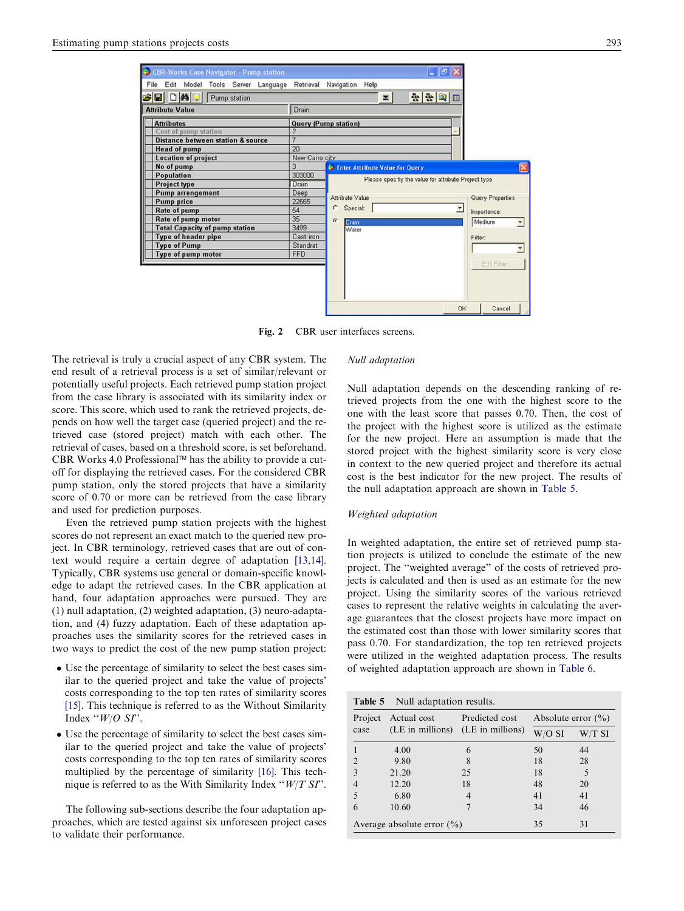<span id="page-4-0"></span>

Fig. 2 CBR user interfaces screens.

The retrieval is truly a crucial aspect of any CBR system. The end result of a retrieval process is a set of similar/relevant or potentially useful projects. Each retrieved pump station project from the case library is associated with its similarity index or score. This score, which used to rank the retrieved projects, depends on how well the target case (queried project) and the retrieved case (stored project) match with each other. The retrieval of cases, based on a threshold score, is set beforehand. CBR Works 4.0 Professional™ has the ability to provide a cutoff for displaying the retrieved cases. For the considered CBR pump station, only the stored projects that have a similarity score of 0.70 or more can be retrieved from the case library and used for prediction purposes.

Even the retrieved pump station projects with the highest scores do not represent an exact match to the queried new project. In CBR terminology, retrieved cases that are out of context would require a certain degree of adaptation [\[13,14\].](#page-6-0) Typically, CBR systems use general or domain-specific knowledge to adapt the retrieved cases. In the CBR application at hand, four adaptation approaches were pursued. They are (1) null adaptation, (2) weighted adaptation, (3) neuro-adaptation, and (4) fuzzy adaptation. Each of these adaptation approaches uses the similarity scores for the retrieved cases in two ways to predict the cost of the new pump station project:

- Use the percentage of similarity to select the best cases similar to the queried project and take the value of projects' costs corresponding to the top ten rates of similarity scores [\[15\].](#page-6-0) This technique is referred to as the Without Similarity Index " $W/O$  SI".
- Use the percentage of similarity to select the best cases similar to the queried project and take the value of projects' costs corresponding to the top ten rates of similarity scores multiplied by the percentage of similarity [\[16\].](#page-6-0) This technique is referred to as the With Similarity Index " $W/T$  SI".

The following sub-sections describe the four adaptation approaches, which are tested against six unforeseen project cases to validate their performance.

### Null adaptation

Null adaptation depends on the descending ranking of retrieved projects from the one with the highest score to the one with the least score that passes 0.70. Then, the cost of the project with the highest score is utilized as the estimate for the new project. Here an assumption is made that the stored project with the highest similarity score is very close in context to the new queried project and therefore its actual cost is the best indicator for the new project. The results of the null adaptation approach are shown in Table 5.

#### Weighted adaptation

In weighted adaptation, the entire set of retrieved pump station projects is utilized to conclude the estimate of the new project. The ''weighted average'' of the costs of retrieved projects is calculated and then is used as an estimate for the new project. Using the similarity scores of the various retrieved cases to represent the relative weights in calculating the average guarantees that the closest projects have more impact on the estimated cost than those with lower similarity scores that pass 0.70. For standardization, the top ten retrieved projects were utilized in the weighted adaptation process. The results of weighted adaptation approach are shown in [Table 6](#page-5-0).

| <b>Table 5</b> Null adaptation results. |                                            |                                   |                        |        |  |  |
|-----------------------------------------|--------------------------------------------|-----------------------------------|------------------------|--------|--|--|
| Project                                 | Actual cost                                | Predicted cost                    | Absolute error $(\% )$ |        |  |  |
| case                                    |                                            | (LE in millions) (LE in millions) | $W/O$ SI               | W/T SI |  |  |
|                                         | 4.00                                       | 6                                 | 50                     | 44     |  |  |
|                                         | 9.80                                       |                                   | 18                     | 28     |  |  |
|                                         | 21.20                                      | 25                                | 18                     | 5      |  |  |
|                                         | 12.20                                      | 18                                | 48                     | 20     |  |  |
|                                         | 6.80                                       | 4                                 | 41                     | 41     |  |  |
| 6                                       | 10.60                                      |                                   | 34                     | 46     |  |  |
|                                         | 35<br>Average absolute error $(\% )$<br>31 |                                   |                        |        |  |  |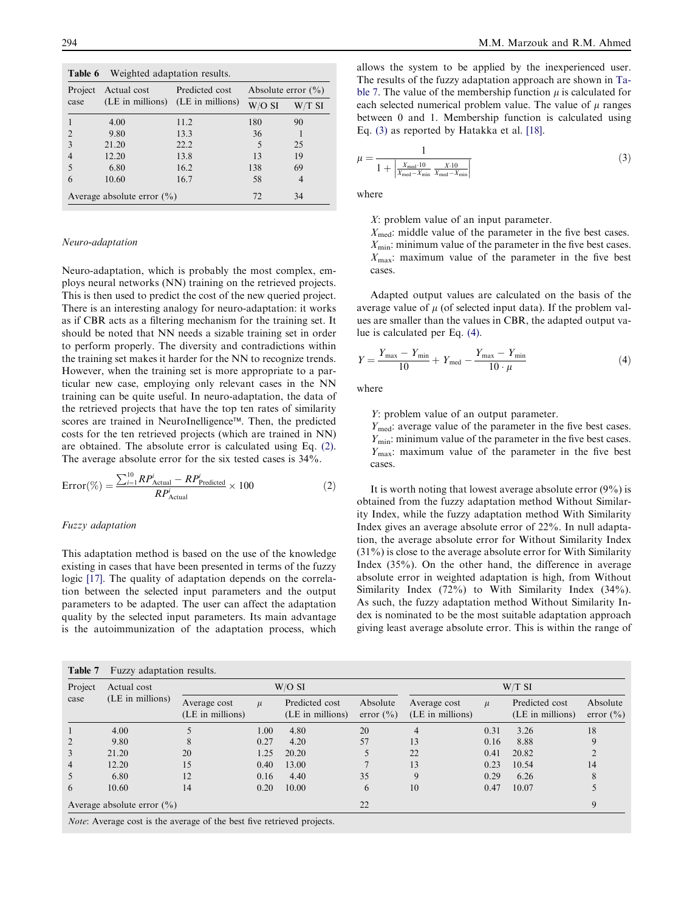<span id="page-5-0"></span>

| Weighted adaptation results.<br>Table 6 |                                |                                   |                        |                |  |  |
|-----------------------------------------|--------------------------------|-----------------------------------|------------------------|----------------|--|--|
| Project                                 | Actual cost                    | Predicted cost                    | Absolute error $(\% )$ |                |  |  |
| case                                    |                                | (LE in millions) (LE in millions) | $W/O$ SI               | W/T SI         |  |  |
|                                         | 4.00                           | 11.2                              | 180                    | 90             |  |  |
| $\overline{2}$                          | 9.80                           | 13.3                              | 36                     |                |  |  |
| $\mathbf{3}$                            | 21.20                          | 22.2                              | 5                      | 25             |  |  |
|                                         | 12.20                          | 13.8                              | 13                     | 19             |  |  |
|                                         | 6.80                           | 16.2                              | 138                    | 69             |  |  |
| 6                                       | 10.60                          | 16.7                              | 58                     | $\overline{4}$ |  |  |
|                                         | Average absolute error $(\% )$ | 72                                | 34                     |                |  |  |

#### Neuro-adaptation

Neuro-adaptation, which is probably the most complex, employs neural networks (NN) training on the retrieved projects. This is then used to predict the cost of the new queried project. There is an interesting analogy for neuro-adaptation: it works as if CBR acts as a filtering mechanism for the training set. It should be noted that NN needs a sizable training set in order to perform properly. The diversity and contradictions within the training set makes it harder for the NN to recognize trends. However, when the training set is more appropriate to a particular new case, employing only relevant cases in the NN training can be quite useful. In neuro-adaptation, the data of the retrieved projects that have the top ten rates of similarity scores are trained in NeuroInelligence™. Then, the predicted costs for the ten retrieved projects (which are trained in NN) are obtained. The absolute error is calculated using Eq. (2). The average absolute error for the six tested cases is 34%.

$$
Error(\%) = \frac{\sum_{i=1}^{10} RP_{\text{Actual}}^i - RP_{\text{Predicted}}^i}{RP_{\text{Actual}}^i} \times 100
$$
 (2)

#### Fuzzy adaptation

This adaptation method is based on the use of the knowledge existing in cases that have been presented in terms of the fuzzy logic [\[17\]](#page-6-0). The quality of adaptation depends on the correlation between the selected input parameters and the output parameters to be adapted. The user can affect the adaptation quality by the selected input parameters. Its main advantage is the autoimmunization of the adaptation process, which allows the system to be applied by the inexperienced user. The results of the fuzzy adaptation approach are shown in Table 7. The value of the membership function  $\mu$  is calculated for each selected numerical problem value. The value of  $\mu$  ranges between 0 and 1. Membership function is calculated using Eq. (3) as reported by Hatakka et al. [\[18\]](#page-6-0).

$$
\mu = \frac{1}{1 + \left| \frac{X_{\text{med}} \cdot 10}{X_{\text{med}} - X_{\text{min}}} \frac{X \cdot 10}{X_{\text{med}} - X_{\text{min}}} \right|}
$$
(3)

where

X: problem value of an input parameter.

 $X_{\text{med}}$ : middle value of the parameter in the five best cases.  $X_{\text{min}}$ : minimum value of the parameter in the five best cases.  $X_{\text{max}}$ : maximum value of the parameter in the five best cases.

Adapted output values are calculated on the basis of the average value of  $\mu$  (of selected input data). If the problem values are smaller than the values in CBR, the adapted output value is calculated per Eq. (4).

$$
Y = \frac{Y_{\text{max}} - Y_{\text{min}}}{10} + Y_{\text{med}} - \frac{Y_{\text{max}} - Y_{\text{min}}}{10 \cdot \mu}
$$
 (4)

where

Y: problem value of an output parameter.

 $Y_{\text{med}}$ : average value of the parameter in the five best cases.  $Y_{\text{min}}$ : minimum value of the parameter in the five best cases.  $Y_{\text{max}}$ : maximum value of the parameter in the five best cases.

It is worth noting that lowest average absolute error  $(9\%)$  is obtained from the fuzzy adaptation method Without Similarity Index, while the fuzzy adaptation method With Similarity Index gives an average absolute error of 22%. In null adaptation, the average absolute error for Without Similarity Index (31%) is close to the average absolute error for With Similarity Index (35%). On the other hand, the difference in average absolute error in weighted adaptation is high, from Without Similarity Index (72%) to With Similarity Index (34%). As such, the fuzzy adaptation method Without Similarity Index is nominated to be the most suitable adaptation approach giving least average absolute error. This is within the range of

| Project<br>case | Actual cost<br>(LE in millions) | W/O SI                           |       |                                    | $W/T$ SI                  |                                  |       |                                    |                           |
|-----------------|---------------------------------|----------------------------------|-------|------------------------------------|---------------------------|----------------------------------|-------|------------------------------------|---------------------------|
|                 |                                 | Average cost<br>(LE in millions) | $\mu$ | Predicted cost<br>(LE in millions) | Absolute<br>error $(\% )$ | Average cost<br>(LE in millions) | $\mu$ | Predicted cost<br>(LE in millions) | Absolute<br>error $(\% )$ |
|                 | 4.00                            |                                  | 1.00  | 4.80                               | 20                        | 4                                | 0.31  | 3.26                               | 18                        |
| 2               | 9.80                            | 8                                | 0.27  | 4.20                               | 57                        | 13                               | 0.16  | 8.88                               | 9                         |
| 3               | 21.20                           | 20                               | 1.25  | 20.20                              |                           | 22                               | 0.41  | 20.82                              |                           |
| $\overline{4}$  | 12.20                           | 15                               | 0.40  | 13.00                              |                           | 13                               | 0.23  | 10.54                              | 14                        |
| 5               | 6.80                            | 12                               | 0.16  | 4.40                               | 35                        | 9                                | 0.29  | 6.26                               | 8                         |
| 6               | 10.60                           | 14                               | 0.20  | 10.00                              | 6                         | 10                               | 0.47  | 10.07                              |                           |
|                 | Average absolute error $(\% )$  |                                  |       |                                    | 22                        |                                  |       |                                    | 9                         |

Note: Average cost is the average of the best five retrieved projects.